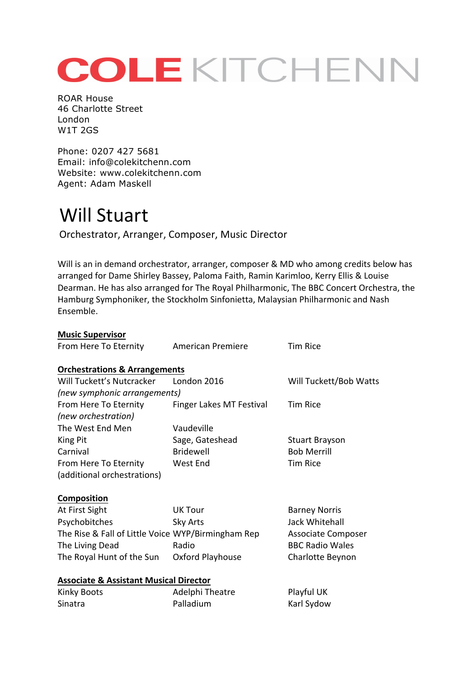## COLEKITCHENN

ROAR House 46 Charlotte Street London W1T 2GS

Phone: 0207 427 5681 Email: info@colekitchenn.com Website: www.colekitchenn.com Agent: Adam Maskell

## Will Stuart

Orchestrator, Arranger, Composer, Music Director

Will is an in demand orchestrator, arranger, composer & MD who among credits below has arranged for Dame Shirley Bassey, Paloma Faith, Ramin Karimloo, Kerry Ellis & Louise Dearman. He has also arranged for The Royal Philharmonic, The BBC Concert Orchestra, the Hamburg Symphoniker, the Stockholm Sinfonietta, Malaysian Philharmonic and Nash Ensemble.

| <b>Music Supervisor</b>                            |                          |                           |
|----------------------------------------------------|--------------------------|---------------------------|
| From Here To Eternity                              | <b>American Premiere</b> | <b>Tim Rice</b>           |
|                                                    |                          |                           |
| <b>Orchestrations &amp; Arrangements</b>           |                          |                           |
| Will Tuckett's Nutcracker                          | London 2016              | Will Tuckett/Bob Watts    |
| (new symphonic arrangements)                       |                          |                           |
| From Here To Eternity                              | Finger Lakes MT Festival | <b>Tim Rice</b>           |
| (new orchestration)                                |                          |                           |
| The West End Men                                   | Vaudeville               |                           |
| King Pit                                           | Sage, Gateshead          | <b>Stuart Brayson</b>     |
| Carnival                                           | <b>Bridewell</b>         | <b>Bob Merrill</b>        |
| From Here To Eternity                              | West End                 | <b>Tim Rice</b>           |
| (additional orchestrations)                        |                          |                           |
| <b>Composition</b>                                 |                          |                           |
| At First Sight                                     | <b>UK Tour</b>           | <b>Barney Norris</b>      |
| Psychobitches                                      | Sky Arts                 | Jack Whitehall            |
| The Rise & Fall of Little Voice WYP/Birmingham Rep |                          | <b>Associate Composer</b> |
| The Living Dead                                    | Radio                    | <b>BBC Radio Wales</b>    |
| The Royal Hunt of the Sun                          | Oxford Playhouse         | Charlotte Beynon          |
| <b>Associate &amp; Assistant Musical Director</b>  |                          |                           |
| Kinky Boots                                        | Adelphi Theatre          | Playful UK                |
| Sinatra                                            | Palladium                | Karl Sydow                |
|                                                    |                          |                           |